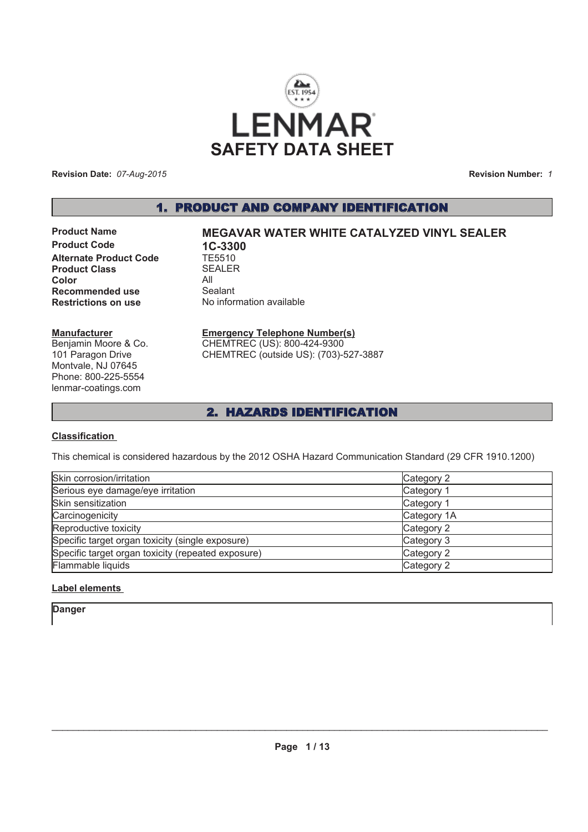

**Revision Date:** *07-Aug-2015*

**Revision Number:** *1*

## 1. PRODUCT AND COMPANY IDENTIFICATION

**Product Code 1C-3300<br>Alternate Product Code 1E5510 Alternate Product Code Product Class SEALER Color** All **Recommended use** Sealant **Restrictions on use** No information available

# **Product Name MEGAVAR WATER WHITE CATALYZED VINYL SEALER**

#### **Manufacturer**

Benjamin Moore & Co. 101 Paragon Drive Montvale, NJ 07645 Phone: 800-225-5554 lenmar-coatings.com

#### **Emergency Telephone Number(s)**

CHEMTREC (US): 800-424-9300 CHEMTREC (outside US): (703)-527-3887

# 2. HAZARDS IDENTIFICATION

#### **Classification**

This chemical is considered hazardous by the 2012 OSHA Hazard Communication Standard (29 CFR 1910.1200)

| Skin corrosion/irritation                          | Category 2  |
|----------------------------------------------------|-------------|
| Serious eye damage/eye irritation                  | Category 1  |
| Skin sensitization                                 | Category 1  |
| Carcinogenicity                                    | Category 1A |
| Reproductive toxicity                              | Category 2  |
| Specific target organ toxicity (single exposure)   | Category 3  |
| Specific target organ toxicity (repeated exposure) | Category 2  |
| Flammable liquids                                  | Category 2  |

## **Label elements**

**Danger**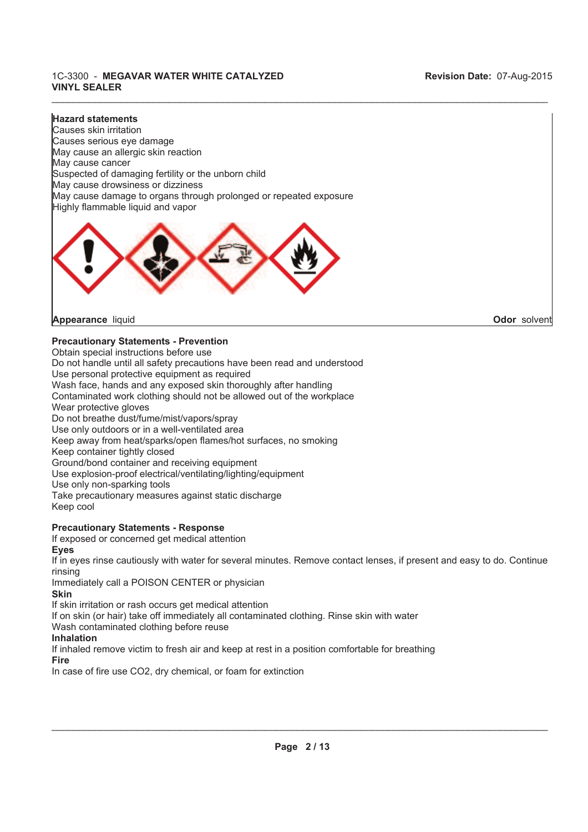#### $\_$  , and the state of the state of the state of the state of the state of the state of the state of the state of the state of the state of the state of the state of the state of the state of the state of the state of the 1C-3300 - **MEGAVAR WATER WHITE CATALYZED VINYL SEALER**

## **Hazard statements**

Causes skin irritation Causes serious eye damage May cause an allergic skin reaction May cause cancer Suspected of damaging fertility or the unborn child May cause drowsiness or dizziness May cause damage to organs through prolonged or repeated exposure Highly flammable liquid and vapor



**Appearance** liquid **Odor** solvent

## **Precautionary Statements - Prevention**

Obtain special instructions before use Do not handle until all safety precautions have been read and understood Use personal protective equipment as required Wash face, hands and any exposed skin thoroughly after handling Contaminated work clothing should not be allowed out of the workplace Wear protective gloves Do not breathe dust/fume/mist/vapors/spray Use only outdoors or in a well-ventilated area Keep away from heat/sparks/open flames/hot surfaces, no smoking Keep container tightly closed Ground/bond container and receiving equipment Use explosion-proof electrical/ventilating/lighting/equipment Use only non-sparking tools Take precautionary measures against static discharge Keep cool

## **Precautionary Statements - Response**

If exposed or concerned get medical attention

#### **Eyes**

If in eyes rinse cautiously with water for several minutes. Remove contact lenses, if present and easy to do. Continue rinsing

Immediately call a POISON CENTER or physician

#### **Skin**

If skin irritation or rash occurs get medical attention

If on skin (or hair) take off immediately all contaminated clothing. Rinse skin with water

Wash contaminated clothing before reuse

#### **Inhalation**

If inhaled remove victim to fresh air and keep at rest in a position comfortable for breathing **Fire**

In case of fire use CO2, dry chemical, or foam for extinction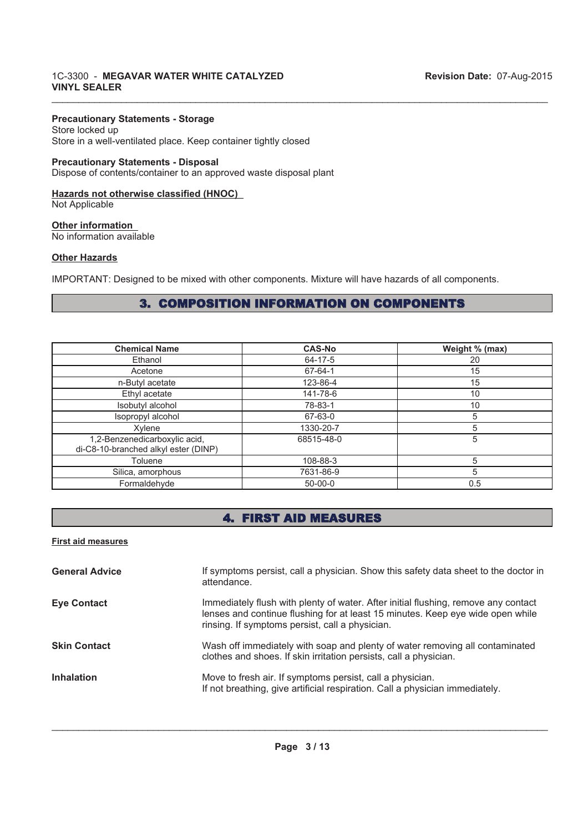#### **Precautionary Statements - Storage**

Store locked up Store in a well-ventilated place. Keep container tightly closed

**Precautionary Statements - Disposal** Dispose of contents/container to an approved waste disposal plant

#### **Hazards not otherwise classified (HNOC)** Not Applicable

**Other information** No information available

## **Other Hazards**

IMPORTANT: Designed to be mixed with other components. Mixture will have hazards of all components.

# 3. COMPOSITION INFORMATION ON COMPONENTS

 $\_$  , and the state of the state of the state of the state of the state of the state of the state of the state of the state of the state of the state of the state of the state of the state of the state of the state of the

| <b>Chemical Name</b>                                                  | <b>CAS-No</b> | Weight % (max) |
|-----------------------------------------------------------------------|---------------|----------------|
| Ethanol                                                               | 64-17-5       | 20             |
| Acetone                                                               | 67-64-1       | 15             |
| n-Butyl acetate                                                       | 123-86-4      | 15             |
| Ethyl acetate                                                         | 141-78-6      | 10             |
| Isobutyl alcohol                                                      | 78-83-1       | 10             |
| Isopropyl alcohol                                                     | 67-63-0       | 5              |
| Xylene                                                                | 1330-20-7     | 5              |
| 1,2-Benzenedicarboxylic acid,<br>di-C8-10-branched alkyl ester (DINP) | 68515-48-0    | 5              |
| Toluene                                                               | 108-88-3      | 5              |
| Silica, amorphous                                                     | 7631-86-9     | 5              |
| Formaldehyde                                                          | $50 - 00 - 0$ | 0.5            |

# 4. FIRST AID MEASURES

**First aid measures**

| <b>General Advice</b> | If symptoms persist, call a physician. Show this safety data sheet to the doctor in<br>attendance.                                                                                                                      |
|-----------------------|-------------------------------------------------------------------------------------------------------------------------------------------------------------------------------------------------------------------------|
| <b>Eye Contact</b>    | Immediately flush with plenty of water. After initial flushing, remove any contact<br>lenses and continue flushing for at least 15 minutes. Keep eye wide open while<br>rinsing. If symptoms persist, call a physician. |
| <b>Skin Contact</b>   | Wash off immediately with soap and plenty of water removing all contaminated<br>clothes and shoes. If skin irritation persists, call a physician.                                                                       |
| <b>Inhalation</b>     | Move to fresh air. If symptoms persist, call a physician.<br>If not breathing, give artificial respiration. Call a physician immediately.                                                                               |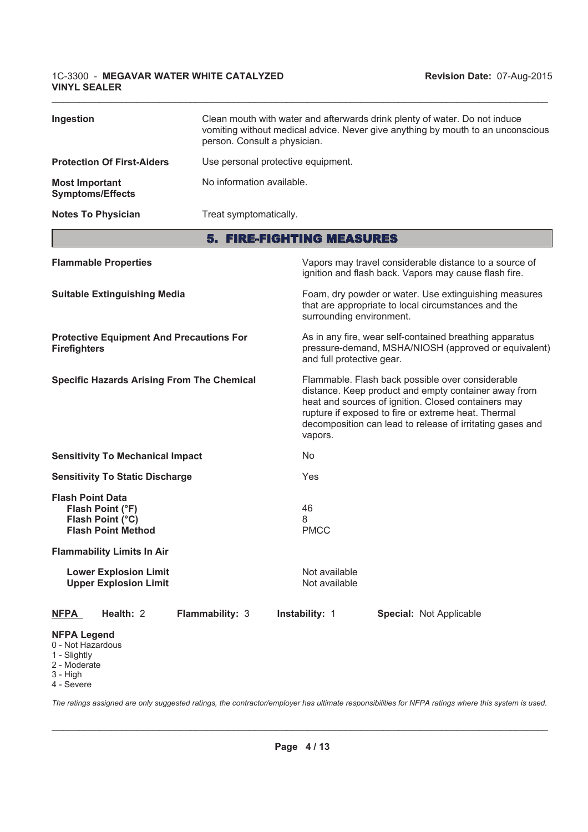| Ingestion                                                                                                                                                                       | Clean mouth with water and afterwards drink plenty of water. Do not induce<br>vomiting without medical advice. Never give anything by mouth to an unconscious<br>person. Consult a physician. |                                    |                                                                                                                                                                                                                                                                                     |  |
|---------------------------------------------------------------------------------------------------------------------------------------------------------------------------------|-----------------------------------------------------------------------------------------------------------------------------------------------------------------------------------------------|------------------------------------|-------------------------------------------------------------------------------------------------------------------------------------------------------------------------------------------------------------------------------------------------------------------------------------|--|
| <b>Protection Of First-Aiders</b>                                                                                                                                               |                                                                                                                                                                                               | Use personal protective equipment. |                                                                                                                                                                                                                                                                                     |  |
| <b>Most Important</b><br><b>Symptoms/Effects</b>                                                                                                                                | No information available.                                                                                                                                                                     |                                    |                                                                                                                                                                                                                                                                                     |  |
| <b>Notes To Physician</b>                                                                                                                                                       | Treat symptomatically.                                                                                                                                                                        |                                    |                                                                                                                                                                                                                                                                                     |  |
|                                                                                                                                                                                 | <b>5. FIRE-FIGHTING MEASURES</b>                                                                                                                                                              |                                    |                                                                                                                                                                                                                                                                                     |  |
| <b>Flammable Properties</b>                                                                                                                                                     |                                                                                                                                                                                               |                                    | Vapors may travel considerable distance to a source of<br>ignition and flash back. Vapors may cause flash fire.                                                                                                                                                                     |  |
| <b>Suitable Extinguishing Media</b>                                                                                                                                             |                                                                                                                                                                                               | surrounding environment.           | Foam, dry powder or water. Use extinguishing measures<br>that are appropriate to local circumstances and the                                                                                                                                                                        |  |
| <b>Protective Equipment And Precautions For</b><br><b>Firefighters</b>                                                                                                          |                                                                                                                                                                                               |                                    | As in any fire, wear self-contained breathing apparatus<br>pressure-demand, MSHA/NIOSH (approved or equivalent)<br>and full protective gear.                                                                                                                                        |  |
| <b>Specific Hazards Arising From The Chemical</b>                                                                                                                               |                                                                                                                                                                                               | vapors.                            | Flammable. Flash back possible over considerable<br>distance. Keep product and empty container away from<br>heat and sources of ignition. Closed containers may<br>rupture if exposed to fire or extreme heat. Thermal<br>decomposition can lead to release of irritating gases and |  |
| <b>Sensitivity To Mechanical Impact</b>                                                                                                                                         |                                                                                                                                                                                               | N <sub>o</sub>                     |                                                                                                                                                                                                                                                                                     |  |
| <b>Sensitivity To Static Discharge</b>                                                                                                                                          |                                                                                                                                                                                               | Yes                                |                                                                                                                                                                                                                                                                                     |  |
| <b>Flash Point Data</b><br>Flash Point (°F)<br>Flash Point (°C)<br><b>Flash Point Method</b>                                                                                    |                                                                                                                                                                                               | 46<br>8<br><b>PMCC</b>             |                                                                                                                                                                                                                                                                                     |  |
| <b>Flammability Limits In Air</b>                                                                                                                                               |                                                                                                                                                                                               |                                    |                                                                                                                                                                                                                                                                                     |  |
| <b>Lower Explosion Limit</b><br><b>Upper Explosion Limit</b>                                                                                                                    |                                                                                                                                                                                               | Not available<br>Not available     |                                                                                                                                                                                                                                                                                     |  |
| Health: 2<br>Flammability: 3<br>Instability: 1<br>Special: Not Applicable<br><b>NFPA</b><br><b>NFPA Legend</b><br>0 - Not Hazardous<br>1 - Slightly<br>2 - Moderate<br>3 - High |                                                                                                                                                                                               |                                    |                                                                                                                                                                                                                                                                                     |  |

 $\_$  , and the state of the state of the state of the state of the state of the state of the state of the state of the state of the state of the state of the state of the state of the state of the state of the state of the

4 - Severe

*The ratings assigned are only suggested ratings, the contractor/employer has ultimate responsibilities for NFPA ratings where this system is used.*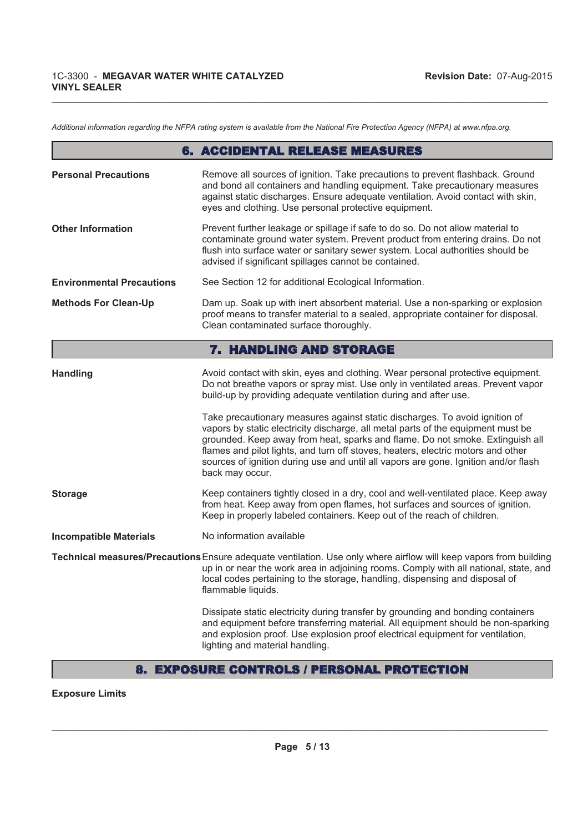*Additional information regarding the NFPA rating system is available from the National Fire Protection Agency (NFPA) at www.nfpa.org.*

## 6. ACCIDENTAL RELEASE MEASURES

 $\_$  , and the state of the state of the state of the state of the state of the state of the state of the state of the state of the state of the state of the state of the state of the state of the state of the state of the

| <b>Personal Precautions</b>      | Remove all sources of ignition. Take precautions to prevent flashback. Ground<br>and bond all containers and handling equipment. Take precautionary measures<br>against static discharges. Ensure adequate ventilation. Avoid contact with skin,<br>eyes and clothing. Use personal protective equipment.                                                                                                                                      |
|----------------------------------|------------------------------------------------------------------------------------------------------------------------------------------------------------------------------------------------------------------------------------------------------------------------------------------------------------------------------------------------------------------------------------------------------------------------------------------------|
| <b>Other Information</b>         | Prevent further leakage or spillage if safe to do so. Do not allow material to<br>contaminate ground water system. Prevent product from entering drains. Do not<br>flush into surface water or sanitary sewer system. Local authorities should be<br>advised if significant spillages cannot be contained.                                                                                                                                     |
| <b>Environmental Precautions</b> | See Section 12 for additional Ecological Information.                                                                                                                                                                                                                                                                                                                                                                                          |
| <b>Methods For Clean-Up</b>      | Dam up. Soak up with inert absorbent material. Use a non-sparking or explosion<br>proof means to transfer material to a sealed, appropriate container for disposal.<br>Clean contaminated surface thoroughly.                                                                                                                                                                                                                                  |
|                                  | 7. HANDLING AND STORAGE                                                                                                                                                                                                                                                                                                                                                                                                                        |
| <b>Handling</b>                  | Avoid contact with skin, eyes and clothing. Wear personal protective equipment.<br>Do not breathe vapors or spray mist. Use only in ventilated areas. Prevent vapor<br>build-up by providing adequate ventilation during and after use.                                                                                                                                                                                                        |
|                                  | Take precautionary measures against static discharges. To avoid ignition of<br>vapors by static electricity discharge, all metal parts of the equipment must be<br>grounded. Keep away from heat, sparks and flame. Do not smoke. Extinguish all<br>flames and pilot lights, and turn off stoves, heaters, electric motors and other<br>sources of ignition during use and until all vapors are gone. Ignition and/or flash<br>back may occur. |
| <b>Storage</b>                   | Keep containers tightly closed in a dry, cool and well-ventilated place. Keep away<br>from heat. Keep away from open flames, hot surfaces and sources of ignition.<br>Keep in properly labeled containers. Keep out of the reach of children.                                                                                                                                                                                                  |
| <b>Incompatible Materials</b>    | No information available                                                                                                                                                                                                                                                                                                                                                                                                                       |
|                                  | Technical measures/Precautions Ensure adequate ventilation. Use only where airflow will keep vapors from building<br>up in or near the work area in adjoining rooms. Comply with all national, state, and<br>local codes pertaining to the storage, handling, dispensing and disposal of<br>flammable liquids.                                                                                                                                 |
|                                  | Dissipate static electricity during transfer by grounding and bonding containers<br>and equipment before transferring material. All equipment should be non-sparking<br>and explosion proof. Use explosion proof electrical equipment for ventilation,<br>lighting and material handling.                                                                                                                                                      |
|                                  |                                                                                                                                                                                                                                                                                                                                                                                                                                                |

# 8. EXPOSURE CONTROLS / PERSONAL PROTECTION

#### **Exposure Limits**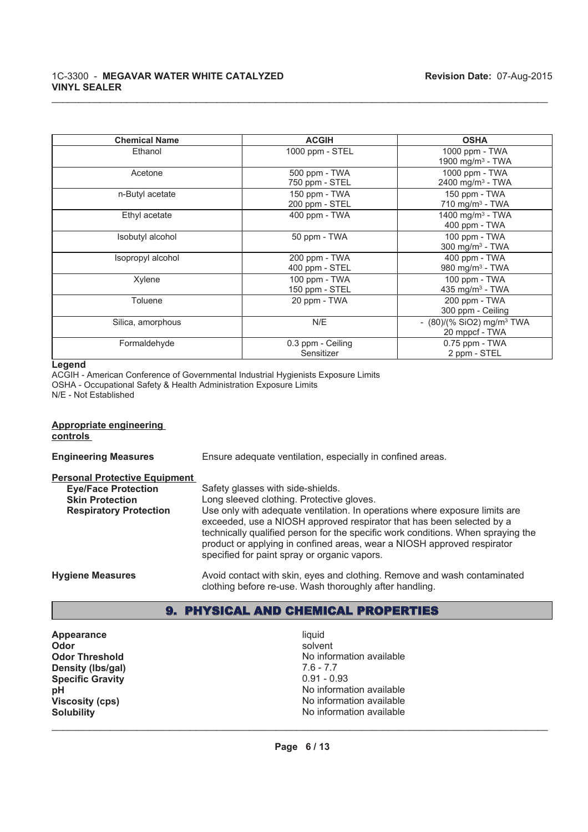| <b>Chemical Name</b> | <b>ACGIH</b>                    | <b>OSHA</b>                                               |
|----------------------|---------------------------------|-----------------------------------------------------------|
| Ethanol              | 1000 ppm - STEL                 | 1000 ppm - TWA<br>1900 mg/m $3$ - TWA                     |
| Acetone              | 500 ppm - TWA<br>750 ppm - STEL | 1000 ppm - TWA<br>2400 mg/m <sup>3</sup> - TWA            |
| n-Butyl acetate      | 150 ppm - TWA<br>200 ppm - STEL | 150 ppm - TWA<br>$710$ mg/m $3$ - TWA                     |
| Ethyl acetate        | 400 ppm - TWA                   | 1400 mg/m <sup>3</sup> - TWA<br>400 ppm - TWA             |
| Isobutyl alcohol     | 50 ppm - TWA                    | 100 ppm - TWA<br>$300$ mg/m $3$ - TWA                     |
| Isopropyl alcohol    | 200 ppm - TWA<br>400 ppm - STEL | 400 ppm - TWA<br>980 mg/m <sup>3</sup> - TWA              |
| Xylene               | 100 ppm - TWA<br>150 ppm - STEL | 100 ppm - TWA<br>435 mg/m $3$ - TWA                       |
| Toluene              | 20 ppm - TWA                    | 200 ppm - TWA<br>300 ppm - Ceiling                        |
| Silica, amorphous    | N/E                             | - $(80)/(% SiO2)$ mg/m <sup>3</sup> TWA<br>20 mppcf - TWA |
| Formaldehyde         | 0.3 ppm - Ceiling<br>Sensitizer | $0.75$ ppm - TWA<br>2 ppm - STEL                          |

 $\_$  , and the state of the state of the state of the state of the state of the state of the state of the state of the state of the state of the state of the state of the state of the state of the state of the state of the

#### **Legend**

ACGIH - American Conference of Governmental Industrial Hygienists Exposure Limits OSHA - Occupational Safety & Health Administration Exposure Limits N/E - Not Established

# **Appropriate engineering**

**controls**

**Engineering Measures** Ensure adequate ventilation, especially in confined areas.

| <b>Personal Protective Equipment</b> |
|--------------------------------------|
|--------------------------------------|

| <b>Eye/Face Protection</b>    | Safety glasses with side-shields.                                                                                                                                                                                                                                                                                                                                   |
|-------------------------------|---------------------------------------------------------------------------------------------------------------------------------------------------------------------------------------------------------------------------------------------------------------------------------------------------------------------------------------------------------------------|
| <b>Skin Protection</b>        | Long sleeved clothing. Protective gloves.                                                                                                                                                                                                                                                                                                                           |
| <b>Respiratory Protection</b> | Use only with adequate ventilation. In operations where exposure limits are<br>exceeded, use a NIOSH approved respirator that has been selected by a<br>technically qualified person for the specific work conditions. When spraying the<br>product or applying in confined areas, wear a NIOSH approved respirator<br>specified for paint spray or organic vapors. |
|                               |                                                                                                                                                                                                                                                                                                                                                                     |

**Hygiene Measures** Avoid contact with skin, eyes and clothing. Remove and wash contaminated clothing before re-use. Wash thoroughly after handling.

# 9. PHYSICAL AND CHEMICAL PROPERTIES

**Appearance** liquid and **a** liquid liquid and **a** liquid liquid solvent **Odor** solvent **Density (lbs/gal)** 7.6 - 7.7<br> **Specific Gravity** 0.91 - 0.93 **Specific Gravity** 

**Odor Threshold**<br> **Density (Ibs/gal)**<br> **Density (Ibs/gal)**<br> **No information available**<br>  $7.6 - 7.7$ **pH pH**  $\blacksquare$ **Viscosity (cps)** No information available **Solubility** No information available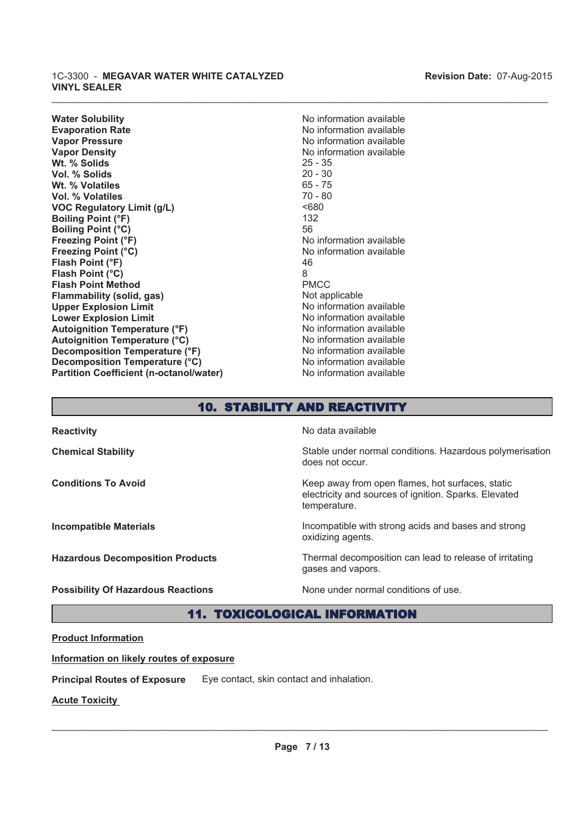**Water Solubility** No information available **Evaporation Rate No information available No information available Vapor Pressure** No information available **Vapor Density No information available** No information available **Wt. % Solids** 25 - 35 **Vol. % Solids** 20 - 30 **Wt. % Volatiles Vol. % Volatiles** 70 - 80 **VOC Regulatory Limit (g/L)** <680 **Boiling Point (°F)** 132<br> **Boiling Point (°C)** 56 **Boiling Point (°C) Freezing Point (°F)** No information available **Freezing Point (°C)** No information available **Flash Point (°F)** 46 **Flash Point (°C)** 8 **Flash Point Method** PMCC **Flammability (solid, gas)** Not applicable Not applicable Upper Explosion Limit Not applicable Not applicable Upper Explosion Limit **Upper Explosion Limit**<br> **Lower Explosion Limit**<br> **Lower Explosion Limit**<br> **No information available Lower Explosion Limit**<br> **Autoignition Temperature (°F)**<br>
No information available **Autoignition Temperature (°F)**<br> **Autoignition Temperature (°C)** No information available **Autoignition Temperature (°C)**<br> **Decomposition Temperature (°F)** No information available **Decomposition Temperature (°F)**<br> **Decomposition Temperature (°C)**<br>
No information available<br>
No information available **Decomposition Temperature (°C)**<br> **Partition Coefficient (n-octanol/water)** No information available **Partition Coefficient (n-octanol/water)** 

# 10. STABILITY AND REACTIVITY

 $\_$  , and the state of the state of the state of the state of the state of the state of the state of the state of the state of the state of the state of the state of the state of the state of the state of the state of the

| <b>Reactivity</b>                         | No data available                                                                                                         |
|-------------------------------------------|---------------------------------------------------------------------------------------------------------------------------|
| <b>Chemical Stability</b>                 | Stable under normal conditions. Hazardous polymerisation<br>does not occur.                                               |
| <b>Conditions To Avoid</b>                | Keep away from open flames, hot surfaces, static<br>electricity and sources of ignition. Sparks. Elevated<br>temperature. |
| <b>Incompatible Materials</b>             | Incompatible with strong acids and bases and strong<br>oxidizing agents.                                                  |
| <b>Hazardous Decomposition Products</b>   | Thermal decomposition can lead to release of irritating<br>gases and vapors.                                              |
| <b>Possibility Of Hazardous Reactions</b> | None under normal conditions of use.                                                                                      |

# 11. TOXICOLOGICAL INFORMATION

## **Product Information**

#### **Information on likely routes of exposure**

**Principal Routes of Exposure** Eye contact, skin contact and inhalation.

## **Acute Toxicity**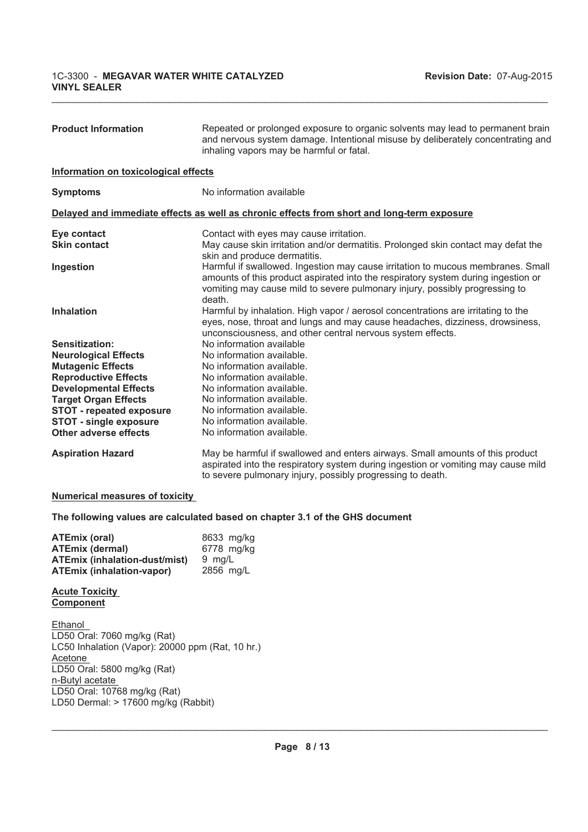| <b>Product Information</b>                                                                                                                                                                                                                                                  | Repeated or prolonged exposure to organic solvents may lead to permanent brain<br>and nervous system damage. Intentional misuse by deliberately concentrating and<br>inhaling vapors may be harmful or fatal.                                                                                                                        |  |  |
|-----------------------------------------------------------------------------------------------------------------------------------------------------------------------------------------------------------------------------------------------------------------------------|--------------------------------------------------------------------------------------------------------------------------------------------------------------------------------------------------------------------------------------------------------------------------------------------------------------------------------------|--|--|
| Information on toxicological effects                                                                                                                                                                                                                                        |                                                                                                                                                                                                                                                                                                                                      |  |  |
| <b>Symptoms</b>                                                                                                                                                                                                                                                             | No information available                                                                                                                                                                                                                                                                                                             |  |  |
|                                                                                                                                                                                                                                                                             | Delayed and immediate effects as well as chronic effects from short and long-term exposure                                                                                                                                                                                                                                           |  |  |
| Eye contact<br><b>Skin contact</b><br>Ingestion                                                                                                                                                                                                                             | Contact with eyes may cause irritation.<br>May cause skin irritation and/or dermatitis. Prolonged skin contact may defat the<br>skin and produce dermatitis.<br>Harmful if swallowed. Ingestion may cause irritation to mucous membranes. Small<br>amounts of this product aspirated into the respiratory system during ingestion or |  |  |
| <b>Inhalation</b>                                                                                                                                                                                                                                                           | vomiting may cause mild to severe pulmonary injury, possibly progressing to<br>death.<br>Harmful by inhalation. High vapor / aerosol concentrations are irritating to the<br>eyes, nose, throat and lungs and may cause headaches, dizziness, drowsiness,<br>unconsciousness, and other central nervous system effects.              |  |  |
| <b>Sensitization:</b><br><b>Neurological Effects</b><br><b>Mutagenic Effects</b><br><b>Reproductive Effects</b><br><b>Developmental Effects</b><br><b>Target Organ Effects</b><br><b>STOT - repeated exposure</b><br><b>STOT - single exposure</b><br>Other adverse effects | No information available<br>No information available.<br>No information available.<br>No information available.<br>No information available.<br>No information available.<br>No information available.<br>No information available.<br>No information available.                                                                     |  |  |
| <b>Aspiration Hazard</b>                                                                                                                                                                                                                                                    | May be harmful if swallowed and enters airways. Small amounts of this product<br>aspirated into the respiratory system during ingestion or vomiting may cause mild<br>to severe pulmonary injury, possibly progressing to death.                                                                                                     |  |  |
| <b>Numerical measures of toxicity</b>                                                                                                                                                                                                                                       |                                                                                                                                                                                                                                                                                                                                      |  |  |
| The following values are calculated based on chapter 3.1 of the GHS document                                                                                                                                                                                                |                                                                                                                                                                                                                                                                                                                                      |  |  |
| <b>ATEmix (oral)</b><br><b>ATEmix (dermal)</b><br><b>ATEmix (inhalation-dust/mist)</b><br><b>ATEmix (inhalation-vapor)</b>                                                                                                                                                  | 8633 mg/kg<br>6778 mg/kg<br>9 mg/L<br>2856 mg/L                                                                                                                                                                                                                                                                                      |  |  |
| <b>Acute Toxicity</b><br><b>Component</b>                                                                                                                                                                                                                                   |                                                                                                                                                                                                                                                                                                                                      |  |  |
| Ethanol                                                                                                                                                                                                                                                                     |                                                                                                                                                                                                                                                                                                                                      |  |  |

 $\_$  , and the state of the state of the state of the state of the state of the state of the state of the state of the state of the state of the state of the state of the state of the state of the state of the state of the

LD50 Oral: 7060 mg/kg (Rat) LC50 Inhalation (Vapor): 20000 ppm (Rat, 10 hr.) Acetone LD50 Oral: 5800 mg/kg (Rat) n-Butyl acetate LD50 Oral: 10768 mg/kg (Rat) LD50 Dermal: > 17600 mg/kg (Rabbit)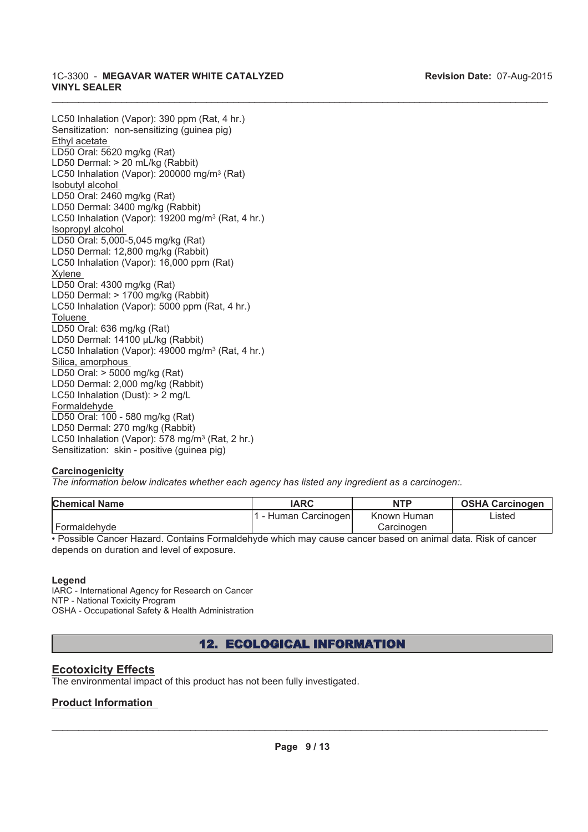LC50 Inhalation (Vapor): 390 ppm (Rat, 4 hr.) Sensitization: non-sensitizing (guinea pig) Ethyl acetate LD50 Oral: 5620 mg/kg (Rat) LD50 Dermal: > 20 mL/kg (Rabbit) LC50 Inhalation (Vapor): 200000 mg/m<sup>3</sup> (Rat) Isobutyl alcohol LD50 Oral: 2460 mg/kg (Rat) LD50 Dermal: 3400 mg/kg (Rabbit) LC50 Inhalation (Vapor): 19200 mg/m<sup>3</sup> (Rat, 4 hr.) Isopropyl alcohol LD50 Oral: 5,000-5,045 mg/kg (Rat) LD50 Dermal: 12,800 mg/kg (Rabbit) LC50 Inhalation (Vapor): 16,000 ppm (Rat) Xylene LD50 Oral: 4300 mg/kg (Rat) LD50 Dermal: > 1700 mg/kg (Rabbit) LC50 Inhalation (Vapor): 5000 ppm (Rat, 4 hr.) Toluene LD50 Oral: 636 mg/kg (Rat) LD50 Dermal: 14100 µL/kg (Rabbit) LC50 Inhalation (Vapor): 49000 mg/m<sup>3</sup> (Rat, 4 hr.) Silica, amorphous LD50 Oral: > 5000 mg/kg (Rat) LD50 Dermal: 2,000 mg/kg (Rabbit) LC50 Inhalation (Dust): > 2 mg/L **Formaldehyde** LD50 Oral: 100 - 580 mg/kg (Rat) LD50 Dermal: 270 mg/kg (Rabbit) LC50 Inhalation (Vapor): 578 mg/m<sup>3</sup> (Rat, 2 hr.) Sensitization: skin - positive (guinea pig)

#### **Carcinogenicity**

*The information below indicates whether each agency has listed any ingredient as a carcinogen:.*

| <b>Chemical Name</b> | IARC             | <b>NTP</b>  | <b>OSHA Carcinogen</b> |
|----------------------|------------------|-------------|------------------------|
|                      | Human Carcinogen | Known Human | ∟isted                 |
| Formaldehyde         |                  | Carcinogen  |                        |

 $\_$  , and the state of the state of the state of the state of the state of the state of the state of the state of the state of the state of the state of the state of the state of the state of the state of the state of the

• Possible Cancer Hazard. Contains Formaldehyde which may cause cancer based on animal data. Risk of cancer depends on duration and level of exposure.

#### **Legend**

IARC - International Agency for Research on Cancer NTP - National Toxicity Program OSHA - Occupational Safety & Health Administration

# 12. ECOLOGICAL INFORMATION

## **Ecotoxicity Effects**

The environmental impact of this product has not been fully investigated.

## **Product Information**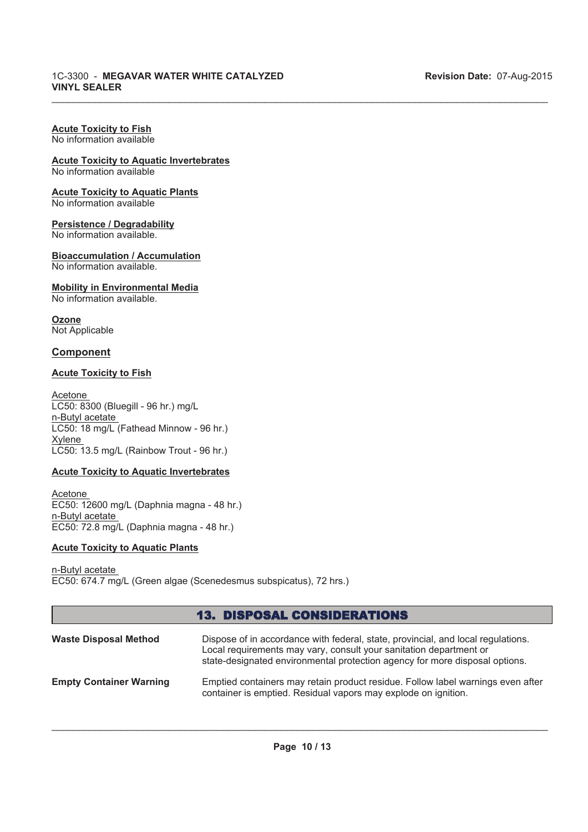# **Acute Toxicity to Fish**

No information available

## **Acute Toxicity to Aquatic Invertebrates**

No information available

# **Acute Toxicity to Aquatic Plants**

No information available

# **Persistence / Degradability**

No information available.

#### **Bioaccumulation / Accumulation**

No information available.

#### **Mobility in Environmental Media**

No information available.

**Ozone** Not Applicable

## **Component**

#### **Acute Toxicity to Fish**

Acetone LC50: 8300 (Bluegill - 96 hr.) mg/L n-Butyl acetate LC50: 18 mg/L (Fathead Minnow - 96 hr.) Xylene LC50: 13.5 mg/L (Rainbow Trout - 96 hr.)

#### **Acute Toxicity to Aquatic Invertebrates**

Acetone EC50: 12600 mg/L (Daphnia magna - 48 hr.) n-Butyl acetate EC50: 72.8 mg/L (Daphnia magna - 48 hr.)

#### **Acute Toxicity to Aquatic Plants**

n-Butyl acetate EC50: 674.7 mg/L (Green algae (Scenedesmus subspicatus), 72 hrs.)

# 13. DISPOSAL CONSIDERATIONS

 $\_$  , and the state of the state of the state of the state of the state of the state of the state of the state of the state of the state of the state of the state of the state of the state of the state of the state of the

| <b>Waste Disposal Method</b>   | Dispose of in accordance with federal, state, provincial, and local regulations.<br>Local requirements may vary, consult your sanitation department or<br>state-designated environmental protection agency for more disposal options. |
|--------------------------------|---------------------------------------------------------------------------------------------------------------------------------------------------------------------------------------------------------------------------------------|
| <b>Empty Container Warning</b> | Emptied containers may retain product residue. Follow label warnings even after<br>container is emptied. Residual vapors may explode on ignition.                                                                                     |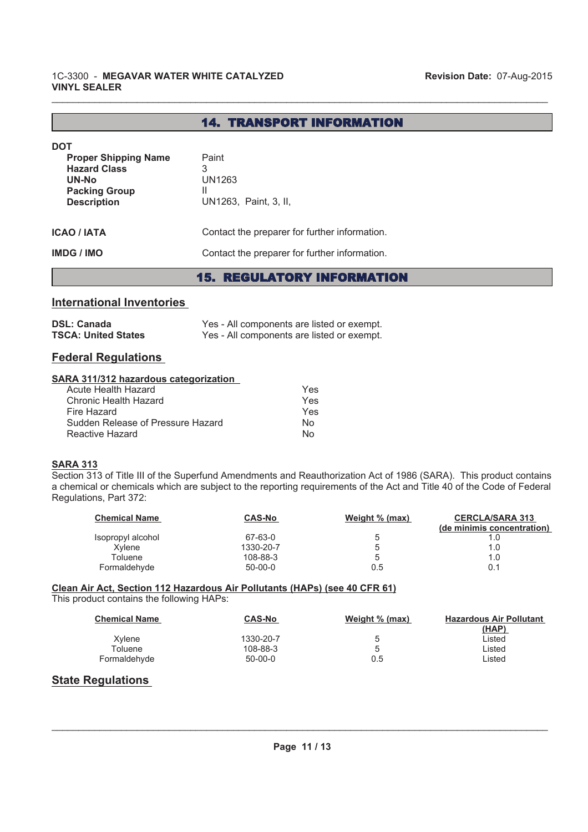# 14. TRANSPORT INFORMATION

 $\_$  , and the state of the state of the state of the state of the state of the state of the state of the state of the state of the state of the state of the state of the state of the state of the state of the state of the

| <b>DOT</b><br><b>Proper Shipping Name</b><br><b>Hazard Class</b><br>UN-No<br><b>Packing Group</b><br><b>Description</b> | Paint<br>3<br>UN1263<br>Ш<br>UN1263, Paint, 3, II, |
|-------------------------------------------------------------------------------------------------------------------------|----------------------------------------------------|
| <b>ICAO / IATA</b>                                                                                                      | Contact the preparer for further information.      |
| <b>IMDG / IMO</b>                                                                                                       | Contact the preparer for further information.      |

15. REGULATORY INFORMATION

#### **International Inventories**

| <b>DSL: Canada</b>         | Yes - All components are listed or exempt. |
|----------------------------|--------------------------------------------|
| <b>TSCA: United States</b> | Yes - All components are listed or exempt. |

## **Federal Regulations**

#### **SARA 311/312 hazardous categorization**

| Acute Health Hazard               | Yes |
|-----------------------------------|-----|
| Chronic Health Hazard             | Yes |
| Fire Hazard                       | Yes |
| Sudden Release of Pressure Hazard | N٥  |
| Reactive Hazard                   | N∩  |

#### **SARA 313**

Section 313 of Title III of the Superfund Amendments and Reauthorization Act of 1986 (SARA). This product contains a chemical or chemicals which are subject to the reporting requirements of the Act and Title 40 of the Code of Federal Regulations, Part 372:

| <b>Chemical Name</b> | <b>CAS-No</b> | Weight % (max) | <b>CERCLA/SARA 313</b><br>(de minimis concentration) |
|----------------------|---------------|----------------|------------------------------------------------------|
| Isopropyl alcohol    | 67-63-0       | b              |                                                      |
| Xvlene               | 1330-20-7     | G              | 1.0                                                  |
| Toluene              | 108-88-3      | G              | 1.0                                                  |
| Formaldehyde         | $50 - 00 - 0$ | 0.5            | 0.1                                                  |

**Clean Air Act, Section 112 Hazardous Air Pollutants (HAPs) (see 40 CFR 61)** This product contains the following HAPs:

| <b>Chemical Name</b> | <b>CAS-No</b> | Weight % (max) | <b>Hazardous Air Pollutant</b><br><u>(HAP)</u> |
|----------------------|---------------|----------------|------------------------------------------------|
| Xvlene               | 1330-20-7     | b              | Listed                                         |
| Toluene              | 108-88-3      | 5              | Listed                                         |
| Formaldehyde         | $50-00-0$     | 0.5            | Listed                                         |

## **State Regulations**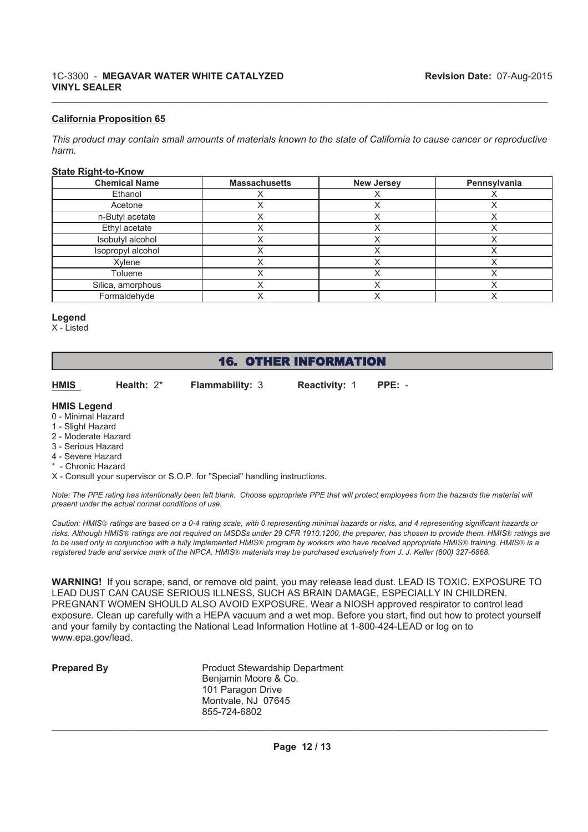#### **California Proposition 65**

*This product may contain small amounts of materials known to the state of California to cause cancer or reproductive harm.*

 $\_$  , and the state of the state of the state of the state of the state of the state of the state of the state of the state of the state of the state of the state of the state of the state of the state of the state of the

#### **State Right-to-Know**

| <b>Chemical Name</b> | <b>Massachusetts</b> | <b>New Jersey</b> | Pennsylvania |
|----------------------|----------------------|-------------------|--------------|
| Ethanol              |                      |                   |              |
| Acetone              |                      |                   |              |
| n-Butyl acetate      |                      |                   |              |
| Ethyl acetate        |                      |                   |              |
| Isobutyl alcohol     |                      |                   |              |
| Isopropyl alcohol    |                      |                   |              |
| Xylene               |                      |                   |              |
| Toluene              |                      |                   |              |
| Silica, amorphous    |                      |                   |              |
| Formaldehyde         |                      |                   |              |

#### **Legend**

X - Listed

# 16. OTHER INFORMATION

**HMIS Flammability:** 3 **Reactivity:** 1 **PPE:** - **Health:** 2\*

#### **HMIS Legend**

- 0 Minimal Hazard
- 1 Slight Hazard
- 2 Moderate Hazard
- 3 Serious Hazard
- 4 Severe Hazard
- Chronic Hazard
- X Consult your supervisor or S.O.P. for "Special" handling instructions.

*Note: The PPE rating has intentionally been left blank. Choose appropriate PPE that will protect employees from the hazards the material will present under the actual normal conditions of use.*

Caution: HMIS<sup>®</sup> ratings are based on a 0-4 rating scale, with 0 representing minimal hazards or risks, and 4 representing significant hazards or risks. Although HMIS<sup>®</sup> ratings are not required on MSDSs under 29 CFR 1910.1200, the preparer, has chosen to provide them. HMIS<sup>®</sup> ratings are to be used only in conjunction with a fully implemented HMIS<sup>®</sup> program by workers who have received appropriate HMIS<sup>®</sup> training. HMIS<sup>®</sup> is a registered trade and service mark of the NPCA. HMIS<sup>®</sup> materials may be purchased exclusively from J. J. Keller (800) 327-6868.

**WARNING!** If you scrape, sand, or remove old paint, you may release lead dust. LEAD IS TOXIC. EXPOSURE TO LEAD DUST CAN CAUSE SERIOUS ILLNESS, SUCH AS BRAIN DAMAGE, ESPECIALLY IN CHILDREN. PREGNANT WOMEN SHOULD ALSO AVOID EXPOSURE. Wear a NIOSH approved respirator to control lead exposure. Clean up carefully with a HEPA vacuum and a wet mop. Before you start, find out how to protect yourself and your family by contacting the National Lead Information Hotline at 1-800-424-LEAD or log on to www.epa.gov/lead.

| <b>Prepared By</b> | <b>Product Stewardship Department</b><br>Benjamin Moore & Co.<br>101 Paragon Drive<br>Montvale, NJ 07645 |
|--------------------|----------------------------------------------------------------------------------------------------------|
|                    | 855-724-6802                                                                                             |